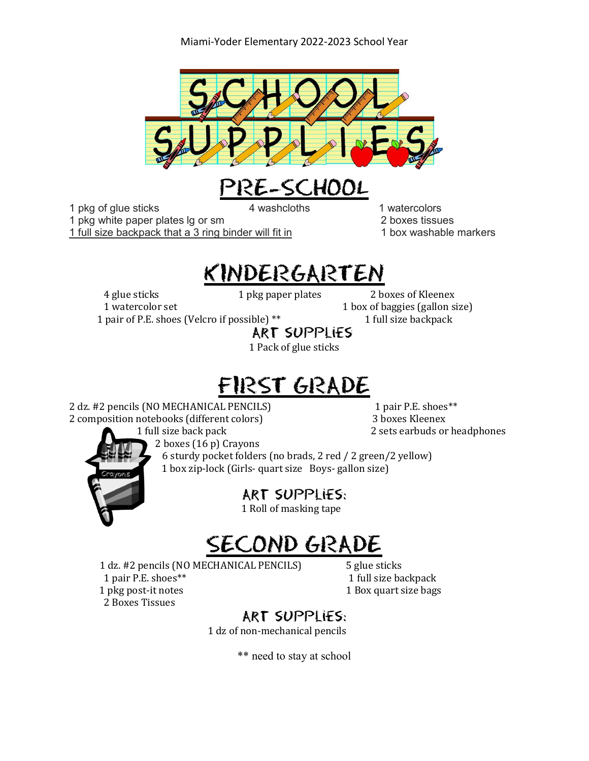



1 pkg of glue sticks 4 washcloths 1 watercolors 1 pkg white paper plates lg or sm 2 boxes tissues 1 full size backpack that a 3 ring binder will fit in 1 box washable markers

### KINDERGARTEN

4 glue sticks 1 pkg paper plates 2 boxes of Kleenex

1 watercolor set 1 box of baggies (gallon size)

1 pair of P.E. shoes (Velcro if possible) \*\* 1 full size backpack

Art supplies

1 Pack of glue sticks

# FIRST GRADE

2 dz. #2 pencils (NO MECHANICAL PENCILS) **1** pair P.E. shoes\*\* 2 composition notebooks (different colors) 3 boxes Kleenex

1 full size back pack 2 sets earbuds or headphones



2 boxes (16 p) Crayons

 6 sturdy pocket folders (no brads, 2 red / 2 green/2 yellow) 1 box zip-lock (Girls- quart size Boys- gallon size)

Art supplies:

1 Roll of masking tape

### SECOND GRADE

1 dz. #2 pencils (NO MECHANICAL PENCILS) 5 glue sticks 1 pair P.E. shoes\*\* 1 full size backpack 1 pkg post-it notes 1 Box quart size bags 2 Boxes Tissues

#### Art supplies:

1 dz of non-mechanical pencils

\*\* need to stay at school